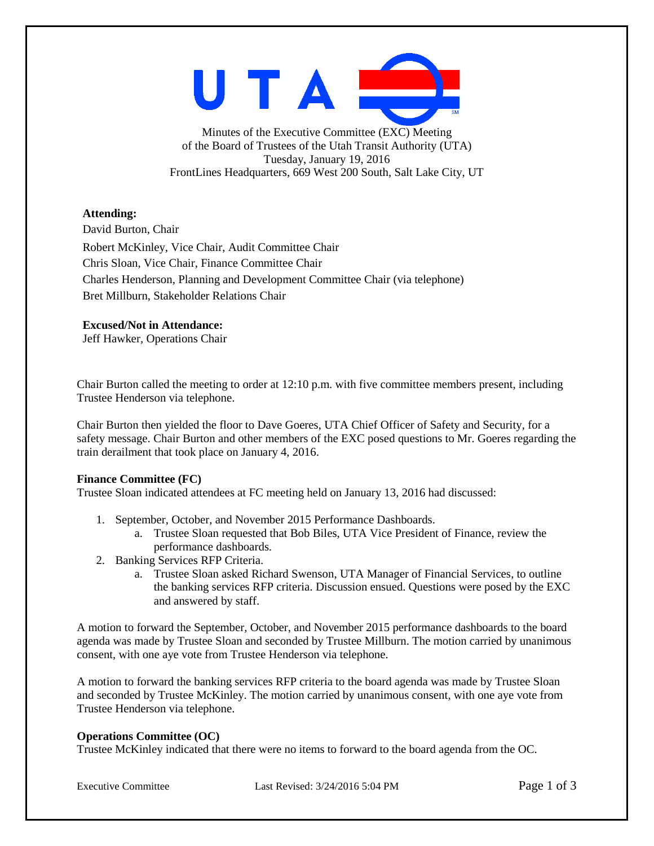

Minutes of the Executive Committee (EXC) Meeting of the Board of Trustees of the Utah Transit Authority (UTA) Tuesday, January 19, 2016 FrontLines Headquarters, 669 West 200 South, Salt Lake City, UT

### **Attending:**

David Burton, Chair Robert McKinley, Vice Chair, Audit Committee Chair Chris Sloan, Vice Chair, Finance Committee Chair Charles Henderson, Planning and Development Committee Chair (via telephone) Bret Millburn, Stakeholder Relations Chair

## **Excused/Not in Attendance:**

Jeff Hawker, Operations Chair

Chair Burton called the meeting to order at 12:10 p.m. with five committee members present, including Trustee Henderson via telephone.

Chair Burton then yielded the floor to Dave Goeres, UTA Chief Officer of Safety and Security, for a safety message. Chair Burton and other members of the EXC posed questions to Mr. Goeres regarding the train derailment that took place on January 4, 2016.

### **Finance Committee (FC)**

Trustee Sloan indicated attendees at FC meeting held on January 13, 2016 had discussed:

- 1. September, October, and November 2015 Performance Dashboards.
	- a. Trustee Sloan requested that Bob Biles, UTA Vice President of Finance, review the performance dashboards.
- 2. Banking Services RFP Criteria.
	- a. Trustee Sloan asked Richard Swenson, UTA Manager of Financial Services, to outline the banking services RFP criteria. Discussion ensued. Questions were posed by the EXC and answered by staff.

A motion to forward the September, October, and November 2015 performance dashboards to the board agenda was made by Trustee Sloan and seconded by Trustee Millburn. The motion carried by unanimous consent, with one aye vote from Trustee Henderson via telephone.

A motion to forward the banking services RFP criteria to the board agenda was made by Trustee Sloan and seconded by Trustee McKinley. The motion carried by unanimous consent, with one aye vote from Trustee Henderson via telephone.

# **Operations Committee (OC)**

Trustee McKinley indicated that there were no items to forward to the board agenda from the OC.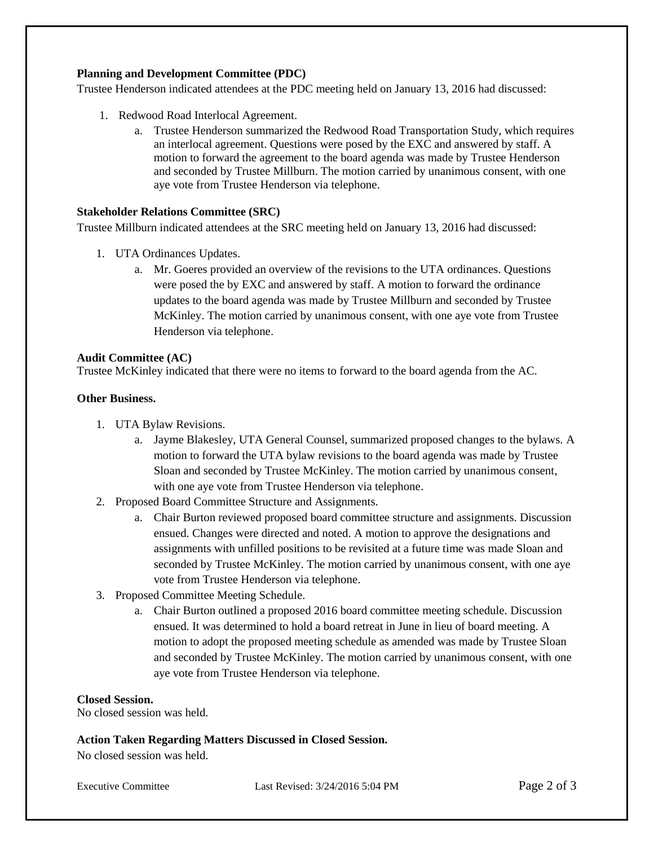## **Planning and Development Committee (PDC)**

Trustee Henderson indicated attendees at the PDC meeting held on January 13, 2016 had discussed:

- 1. Redwood Road Interlocal Agreement.
	- a. Trustee Henderson summarized the Redwood Road Transportation Study, which requires an interlocal agreement. Questions were posed by the EXC and answered by staff. A motion to forward the agreement to the board agenda was made by Trustee Henderson and seconded by Trustee Millburn. The motion carried by unanimous consent, with one aye vote from Trustee Henderson via telephone.

# **Stakeholder Relations Committee (SRC)**

Trustee Millburn indicated attendees at the SRC meeting held on January 13, 2016 had discussed:

- 1. UTA Ordinances Updates.
	- a. Mr. Goeres provided an overview of the revisions to the UTA ordinances. Questions were posed the by EXC and answered by staff. A motion to forward the ordinance updates to the board agenda was made by Trustee Millburn and seconded by Trustee McKinley. The motion carried by unanimous consent, with one aye vote from Trustee Henderson via telephone.

#### **Audit Committee (AC)**

Trustee McKinley indicated that there were no items to forward to the board agenda from the AC.

#### **Other Business.**

- 1. UTA Bylaw Revisions.
	- a. Jayme Blakesley, UTA General Counsel, summarized proposed changes to the bylaws. A motion to forward the UTA bylaw revisions to the board agenda was made by Trustee Sloan and seconded by Trustee McKinley. The motion carried by unanimous consent, with one aye vote from Trustee Henderson via telephone.
- 2. Proposed Board Committee Structure and Assignments.
	- a. Chair Burton reviewed proposed board committee structure and assignments. Discussion ensued. Changes were directed and noted. A motion to approve the designations and assignments with unfilled positions to be revisited at a future time was made Sloan and seconded by Trustee McKinley. The motion carried by unanimous consent, with one aye vote from Trustee Henderson via telephone.
- 3. Proposed Committee Meeting Schedule.
	- a. Chair Burton outlined a proposed 2016 board committee meeting schedule. Discussion ensued. It was determined to hold a board retreat in June in lieu of board meeting. A motion to adopt the proposed meeting schedule as amended was made by Trustee Sloan and seconded by Trustee McKinley. The motion carried by unanimous consent, with one aye vote from Trustee Henderson via telephone.

### **Closed Session.**

No closed session was held.

## **Action Taken Regarding Matters Discussed in Closed Session.**

No closed session was held.